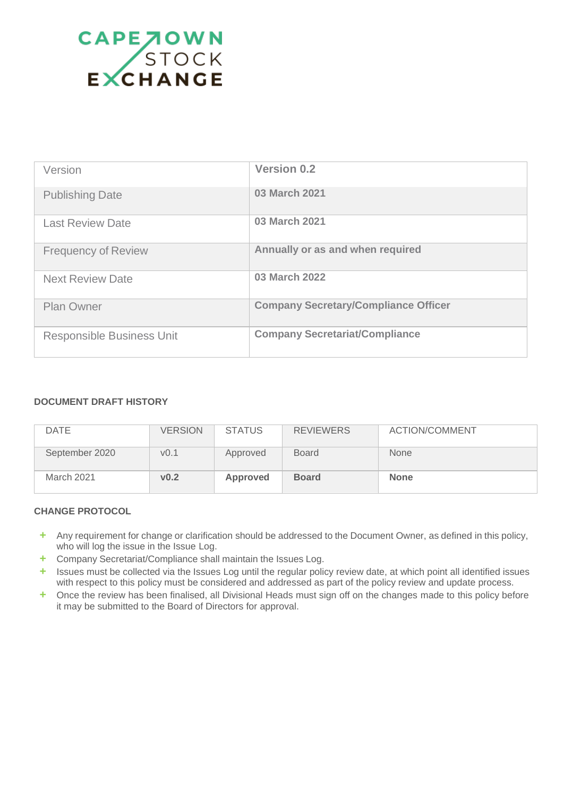

| Version                          | <b>Version 0.2</b>                          |
|----------------------------------|---------------------------------------------|
| <b>Publishing Date</b>           | <b>03 March 2021</b>                        |
| <b>Last Review Date</b>          | 03 March 2021                               |
| <b>Frequency of Review</b>       | Annually or as and when required            |
| <b>Next Review Date</b>          | 03 March 2022                               |
| <b>Plan Owner</b>                | <b>Company Secretary/Compliance Officer</b> |
| <b>Responsible Business Unit</b> | <b>Company Secretariat/Compliance</b>       |

### **DOCUMENT DRAFT HISTORY**

| <b>DATE</b>    | <b>VERSION</b>   | <b>STATUS</b> | <b>REVIEWERS</b> | <b>ACTION/COMMENT</b> |
|----------------|------------------|---------------|------------------|-----------------------|
| September 2020 | V <sub>0.1</sub> | Approved      | <b>Board</b>     | <b>None</b>           |
| March 2021     | v0.2             | Approved      | <b>Board</b>     | <b>None</b>           |

### **CHANGE PROTOCOL**

- **+** Any requirement for change or clarification should be addressed to the Document Owner, as defined in this policy, who will log the issue in the Issue Log.
- **+** Company Secretariat/Compliance shall maintain the Issues Log.
- **+** Issues must be collected via the Issues Log until the regular policy review date, at which point all identified issues with respect to this policy must be considered and addressed as part of the policy review and update process.
- **+** Once the review has been finalised, all Divisional Heads must sign off on the changes made to this policy before it may be submitted to the Board of Directors for approval.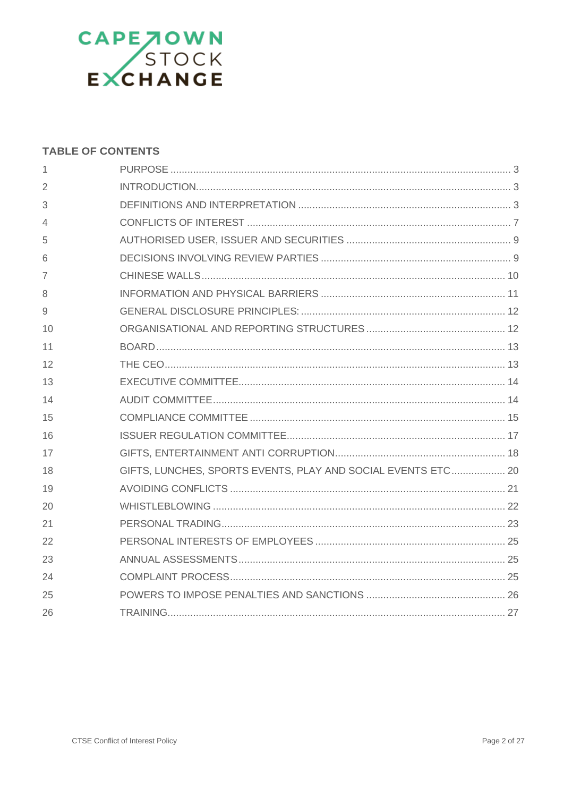

### **TABLE OF CONTENTS**

| 1  |                                                              |
|----|--------------------------------------------------------------|
| 2  |                                                              |
| 3  |                                                              |
| 4  |                                                              |
| 5  |                                                              |
| 6  |                                                              |
| 7  |                                                              |
| 8  |                                                              |
| 9  |                                                              |
| 10 |                                                              |
| 11 |                                                              |
| 12 |                                                              |
| 13 |                                                              |
| 14 |                                                              |
| 15 |                                                              |
| 16 |                                                              |
| 17 |                                                              |
| 18 | GIFTS, LUNCHES, SPORTS EVENTS, PLAY AND SOCIAL EVENTS ETC 20 |
| 19 |                                                              |
| 20 |                                                              |
| 21 |                                                              |
| 22 |                                                              |
| 23 |                                                              |
| 24 |                                                              |
| 25 |                                                              |
| 26 |                                                              |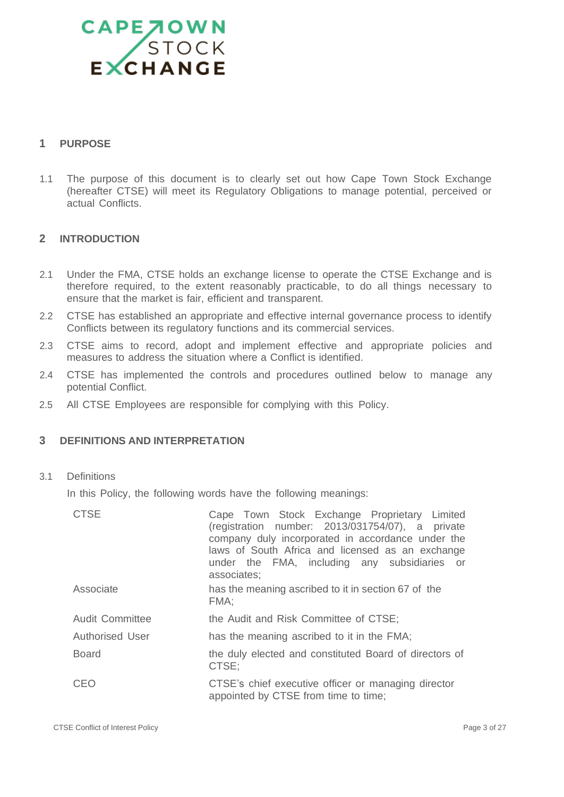

### <span id="page-2-0"></span>**1 PURPOSE**

1.1 The purpose of this document is to clearly set out how Cape Town Stock Exchange (hereafter CTSE) will meet its Regulatory Obligations to manage potential, perceived or actual Conflicts.

### <span id="page-2-1"></span>**2 INTRODUCTION**

- 2.1 Under the FMA, CTSE holds an exchange license to operate the CTSE Exchange and is therefore required, to the extent reasonably practicable, to do all things necessary to ensure that the market is fair, efficient and transparent.
- 2.2 CTSE has established an appropriate and effective internal governance process to identify Conflicts between its regulatory functions and its commercial services.
- 2.3 CTSE aims to record, adopt and implement effective and appropriate policies and measures to address the situation where a Conflict is identified.
- 2.4 CTSE has implemented the controls and procedures outlined below to manage any potential Conflict.
- 2.5 All CTSE Employees are responsible for complying with this Policy.

### <span id="page-2-2"></span>**3 DEFINITIONS AND INTERPRETATION**

3.1 Definitions

In this Policy, the following words have the following meanings:

| <b>CTSE</b>            | Cape Town Stock Exchange Proprietary Limited<br>(registration number: 2013/031754/07), a private<br>company duly incorporated in accordance under the<br>laws of South Africa and licensed as an exchange<br>under the FMA, including any subsidiaries or<br>associates; |
|------------------------|--------------------------------------------------------------------------------------------------------------------------------------------------------------------------------------------------------------------------------------------------------------------------|
| Associate              | has the meaning ascribed to it in section 67 of the<br>FMA:                                                                                                                                                                                                              |
| <b>Audit Committee</b> | the Audit and Risk Committee of CTSE;                                                                                                                                                                                                                                    |
| <b>Authorised User</b> | has the meaning ascribed to it in the FMA;                                                                                                                                                                                                                               |
| <b>Board</b>           | the duly elected and constituted Board of directors of<br>CTSE:                                                                                                                                                                                                          |
| CEO                    | CTSE's chief executive officer or managing director<br>appointed by CTSE from time to time;                                                                                                                                                                              |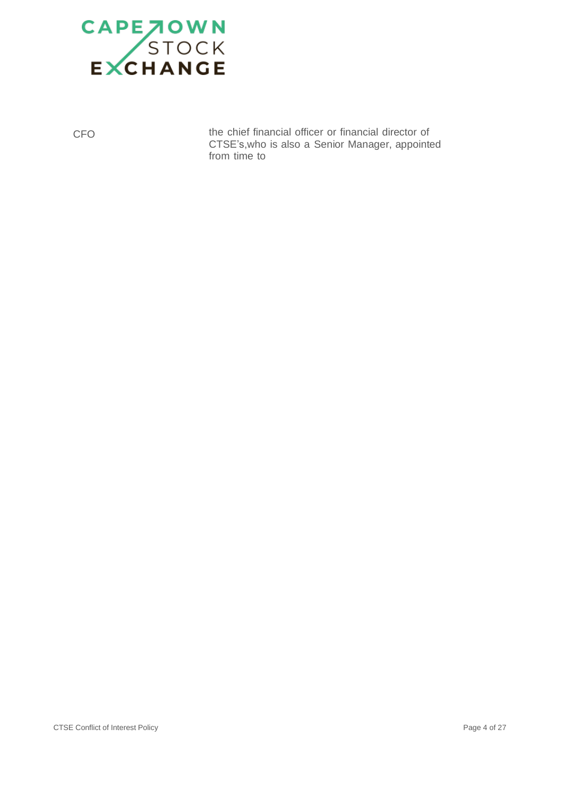

CFO the chief financial officer or financial director of CTSE's,who is also a Senior Manager, appointed from time to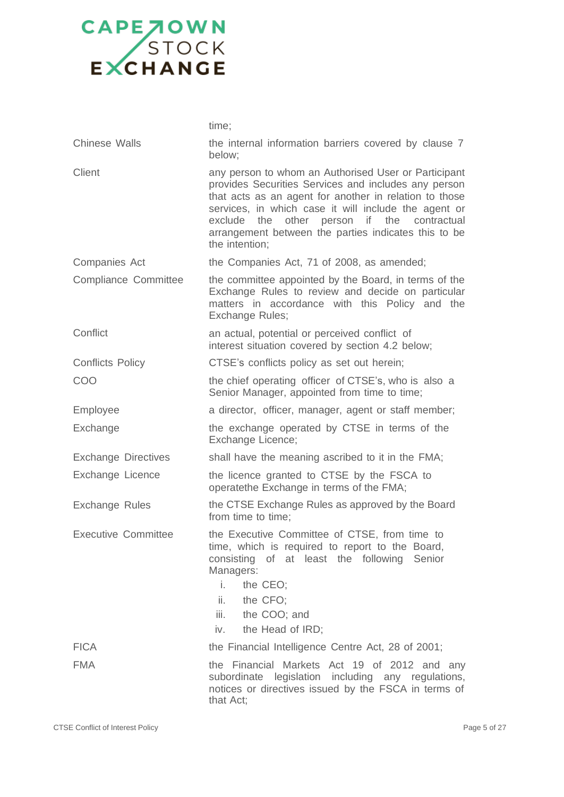|                             | time;                                                                                                                                                                                                                                                                                                                                                                     |
|-----------------------------|---------------------------------------------------------------------------------------------------------------------------------------------------------------------------------------------------------------------------------------------------------------------------------------------------------------------------------------------------------------------------|
| <b>Chinese Walls</b>        | the internal information barriers covered by clause 7<br>below;                                                                                                                                                                                                                                                                                                           |
| Client                      | any person to whom an Authorised User or Participant<br>provides Securities Services and includes any person<br>that acts as an agent for another in relation to those<br>services, in which case it will include the agent or<br>other<br>person<br>if<br>the<br>exclude<br>the<br>contractual<br>arrangement between the parties indicates this to be<br>the intention; |
| <b>Companies Act</b>        | the Companies Act, 71 of 2008, as amended;                                                                                                                                                                                                                                                                                                                                |
| <b>Compliance Committee</b> | the committee appointed by the Board, in terms of the<br>Exchange Rules to review and decide on particular<br>matters in accordance with this Policy and the<br>Exchange Rules;                                                                                                                                                                                           |
| Conflict                    | an actual, potential or perceived conflict of<br>interest situation covered by section 4.2 below;                                                                                                                                                                                                                                                                         |
| <b>Conflicts Policy</b>     | CTSE's conflicts policy as set out herein;                                                                                                                                                                                                                                                                                                                                |
| COO                         | the chief operating officer of CTSE's, who is also a<br>Senior Manager, appointed from time to time;                                                                                                                                                                                                                                                                      |
| Employee                    | a director, officer, manager, agent or staff member;                                                                                                                                                                                                                                                                                                                      |
| Exchange                    | the exchange operated by CTSE in terms of the<br>Exchange Licence;                                                                                                                                                                                                                                                                                                        |
| <b>Exchange Directives</b>  | shall have the meaning ascribed to it in the FMA;                                                                                                                                                                                                                                                                                                                         |
| Exchange Licence            | the licence granted to CTSE by the FSCA to<br>operatethe Exchange in terms of the FMA;                                                                                                                                                                                                                                                                                    |
| <b>Exchange Rules</b>       | the CTSE Exchange Rules as approved by the Board<br>from time to time;                                                                                                                                                                                                                                                                                                    |
| <b>Executive Committee</b>  | the Executive Committee of CTSE, from time to<br>time, which is required to report to the Board,<br>consisting of at least the following Senior<br>Managers:<br>i.<br>the CEO;<br>ii.<br>the CFO;<br>iii.<br>the COO; and<br>the Head of IRD;<br>iv.                                                                                                                      |
| <b>FICA</b>                 | the Financial Intelligence Centre Act, 28 of 2001;                                                                                                                                                                                                                                                                                                                        |
| <b>FMA</b>                  | the Financial Markets Act 19 of 2012 and any<br>subordinate legislation including any regulations,<br>notices or directives issued by the FSCA in terms of<br>that Act;                                                                                                                                                                                                   |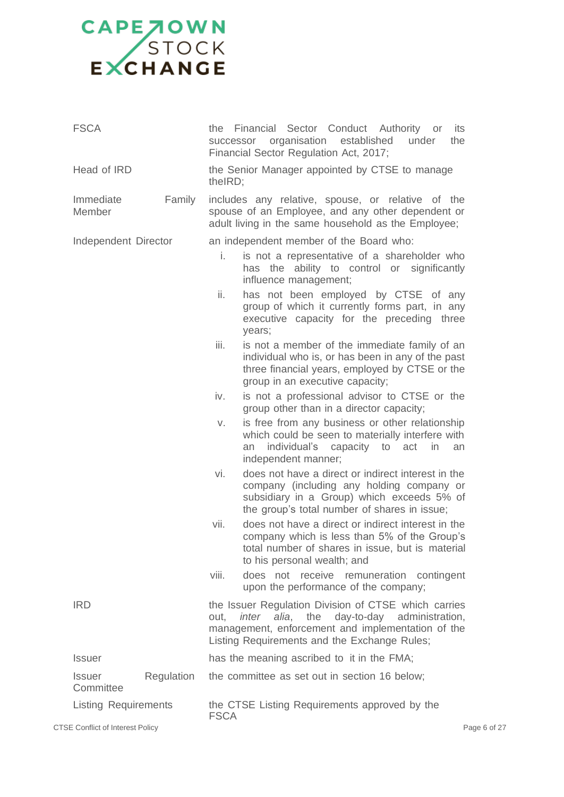| <b>FSCA</b>                 |            | Financial Sector Conduct Authority or<br>the<br>its<br>organisation<br>established<br>the<br>under<br>successor<br>Financial Sector Regulation Act, 2017;                                                                  |
|-----------------------------|------------|----------------------------------------------------------------------------------------------------------------------------------------------------------------------------------------------------------------------------|
| Head of IRD                 |            | the Senior Manager appointed by CTSE to manage<br>the IRD;                                                                                                                                                                 |
| Immediate<br>Member         | Family     | includes any relative, spouse, or relative of the<br>spouse of an Employee, and any other dependent or<br>adult living in the same household as the Employee;                                                              |
| Independent Director        |            | an independent member of the Board who:                                                                                                                                                                                    |
|                             |            | is not a representative of a shareholder who<br>i.<br>has the ability to control or significantly<br>influence management;                                                                                                 |
|                             |            | ii.<br>has not been employed by CTSE of any<br>group of which it currently forms part, in any<br>executive capacity for the preceding three<br>years;                                                                      |
|                             |            | iii.<br>is not a member of the immediate family of an<br>individual who is, or has been in any of the past<br>three financial years, employed by CTSE or the<br>group in an executive capacity;                            |
|                             |            | iv.<br>is not a professional advisor to CTSE or the<br>group other than in a director capacity;                                                                                                                            |
|                             |            | is free from any business or other relationship<br>V.<br>which could be seen to materially interfere with<br>individual's<br>capacity to<br>in<br>act<br>an<br>an<br>independent manner;                                   |
|                             |            | does not have a direct or indirect interest in the<br>vi.<br>company (including any holding company or<br>subsidiary in a Group) which exceeds 5% of<br>the group's total number of shares in issue;                       |
|                             |            | does not have a direct or indirect interest in the<br>vii.<br>company which is less than 5% of the Group's<br>total number of shares in issue, but is material<br>to his personal wealth; and                              |
|                             |            | viii.<br>does not receive remuneration contingent<br>upon the performance of the company;                                                                                                                                  |
| <b>IRD</b>                  |            | the Issuer Regulation Division of CTSE which carries<br><i>inter alia</i> , the<br>day-to-day administration,<br>out,<br>management, enforcement and implementation of the<br>Listing Requirements and the Exchange Rules; |
| <b>Issuer</b>               |            | has the meaning ascribed to it in the FMA;                                                                                                                                                                                 |
| <b>Issuer</b><br>Committee  | Regulation | the committee as set out in section 16 below;                                                                                                                                                                              |
| <b>Listing Requirements</b> |            | the CTSE Listing Requirements approved by the<br><b>FSCA</b>                                                                                                                                                               |

CTSE Conflict of Interest Policy **Page 6 of 27** Page 6 of 27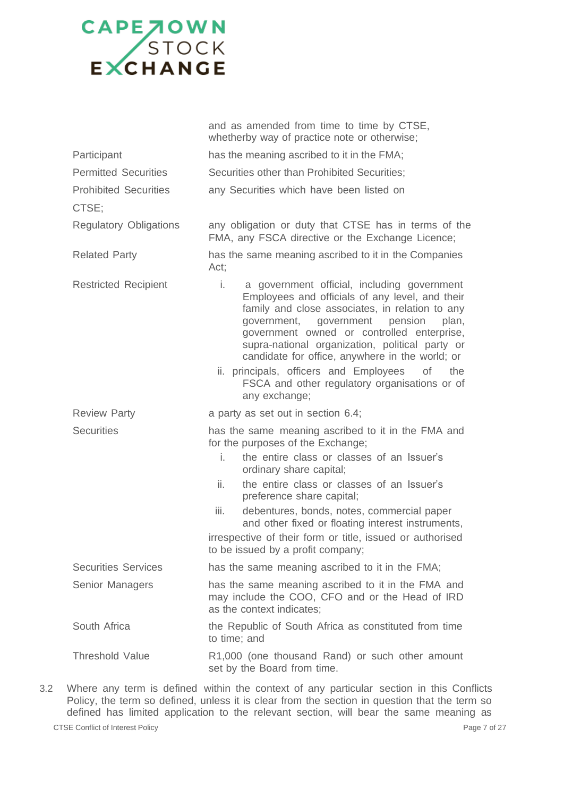|                                       | and as amended from time to time by CTSE,<br>whetherby way of practice note or otherwise;                                                                                                                                                                                                                                                                                                                                                                                          |
|---------------------------------------|------------------------------------------------------------------------------------------------------------------------------------------------------------------------------------------------------------------------------------------------------------------------------------------------------------------------------------------------------------------------------------------------------------------------------------------------------------------------------------|
| Participant                           | has the meaning ascribed to it in the FMA;                                                                                                                                                                                                                                                                                                                                                                                                                                         |
| <b>Permitted Securities</b>           | Securities other than Prohibited Securities;                                                                                                                                                                                                                                                                                                                                                                                                                                       |
| <b>Prohibited Securities</b><br>CTSE; | any Securities which have been listed on                                                                                                                                                                                                                                                                                                                                                                                                                                           |
| <b>Regulatory Obligations</b>         | any obligation or duty that CTSE has in terms of the<br>FMA, any FSCA directive or the Exchange Licence;                                                                                                                                                                                                                                                                                                                                                                           |
| <b>Related Party</b>                  | has the same meaning ascribed to it in the Companies<br>Act;                                                                                                                                                                                                                                                                                                                                                                                                                       |
| <b>Restricted Recipient</b>           | i.<br>a government official, including government<br>Employees and officials of any level, and their<br>family and close associates, in relation to any<br>government,<br>government pension<br>plan,<br>government owned or controlled enterprise,<br>supra-national organization, political party or<br>candidate for office, anywhere in the world; or<br>ii. principals, officers and Employees<br>Οf<br>the<br>FSCA and other regulatory organisations or of<br>any exchange; |
| <b>Review Party</b>                   | a party as set out in section 6.4;                                                                                                                                                                                                                                                                                                                                                                                                                                                 |
| <b>Securities</b>                     | has the same meaning ascribed to it in the FMA and<br>for the purposes of the Exchange;<br>i.<br>the entire class or classes of an Issuer's<br>ordinary share capital;<br>the entire class or classes of an Issuer's<br>ii.<br>preference share capital;<br>iii.<br>debentures, bonds, notes, commercial paper<br>and other fixed or floating interest instruments,<br>irrespective of their form or title, issued or authorised<br>to be issued by a profit company;              |
| <b>Securities Services</b>            | has the same meaning ascribed to it in the FMA;                                                                                                                                                                                                                                                                                                                                                                                                                                    |
| Senior Managers                       | has the same meaning ascribed to it in the FMA and<br>may include the COO, CFO and or the Head of IRD<br>as the context indicates;                                                                                                                                                                                                                                                                                                                                                 |
| South Africa                          | the Republic of South Africa as constituted from time<br>to time; and                                                                                                                                                                                                                                                                                                                                                                                                              |
| <b>Threshold Value</b>                | R1,000 (one thousand Rand) or such other amount<br>set by the Board from time.                                                                                                                                                                                                                                                                                                                                                                                                     |

3.2 Where any term is defined within the context of any particular section in this Conflicts Policy, the term so defined, unless it is clear from the section in question that the term so defined has limited application to the relevant section, will bear the same meaning as

CTSE Conflict of Interest Policy **Page 7 of 27**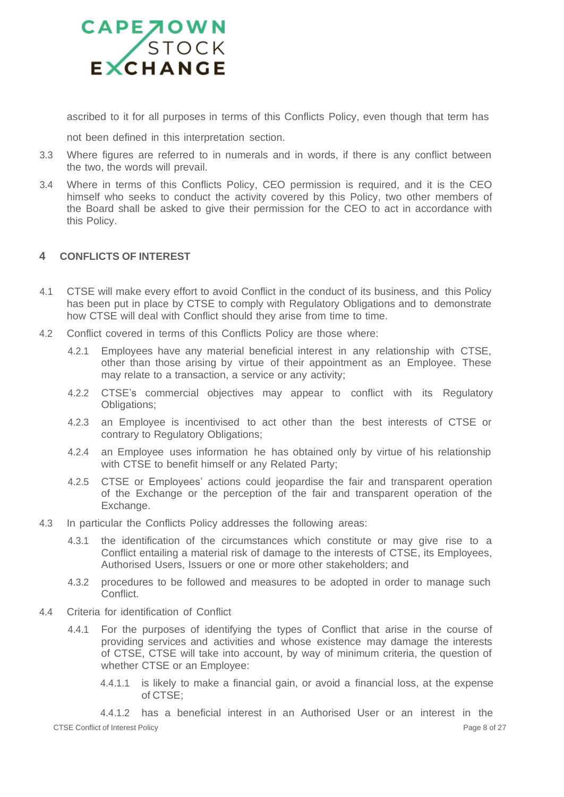

ascribed to it for all purposes in terms of this Conflicts Policy, even though that term has

not been defined in this interpretation section.

- 3.3 Where figures are referred to in numerals and in words, if there is any conflict between the two, the words will prevail.
- 3.4 Where in terms of this Conflicts Policy, CEO permission is required, and it is the CEO himself who seeks to conduct the activity covered by this Policy, two other members of the Board shall be asked to give their permission for the CEO to act in accordance with this Policy.

### <span id="page-7-0"></span>**4 CONFLICTS OF INTEREST**

- 4.1 CTSE will make every effort to avoid Conflict in the conduct of its business, and this Policy has been put in place by CTSE to comply with Regulatory Obligations and to demonstrate how CTSE will deal with Conflict should they arise from time to time.
- 4.2 Conflict covered in terms of this Conflicts Policy are those where:
	- 4.2.1 Employees have any material beneficial interest in any relationship with CTSE, other than those arising by virtue of their appointment as an Employee. These may relate to a transaction, a service or any activity;
	- 4.2.2 CTSE's commercial objectives may appear to conflict with its Regulatory Obligations;
	- 4.2.3 an Employee is incentivised to act other than the best interests of CTSE or contrary to Regulatory Obligations;
	- 4.2.4 an Employee uses information he has obtained only by virtue of his relationship with CTSE to benefit himself or any Related Party;
	- 4.2.5 CTSE or Employees' actions could jeopardise the fair and transparent operation of the Exchange or the perception of the fair and transparent operation of the Exchange.
- 4.3 In particular the Conflicts Policy addresses the following areas:
	- 4.3.1 the identification of the circumstances which constitute or may give rise to a Conflict entailing a material risk of damage to the interests of CTSE, its Employees, Authorised Users, Issuers or one or more other stakeholders; and
	- 4.3.2 procedures to be followed and measures to be adopted in order to manage such Conflict.
- 4.4 Criteria for identification of Conflict
	- 4.4.1 For the purposes of identifying the types of Conflict that arise in the course of providing services and activities and whose existence may damage the interests of CTSE, CTSE will take into account, by way of minimum criteria, the question of whether CTSE or an Employee:
		- 4.4.1.1 is likely to make a financial gain, or avoid a financial loss, at the expense of CTSE;

CTSE Conflict of Interest Policy Page 8 of 27 4.4.1.2 has a beneficial interest in an Authorised User or an interest in the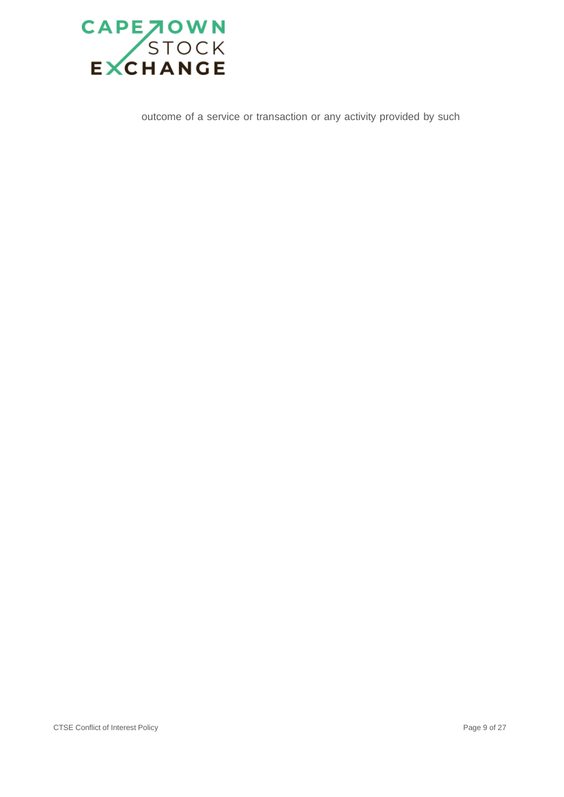

outcome of a service or transaction or any activity provided by such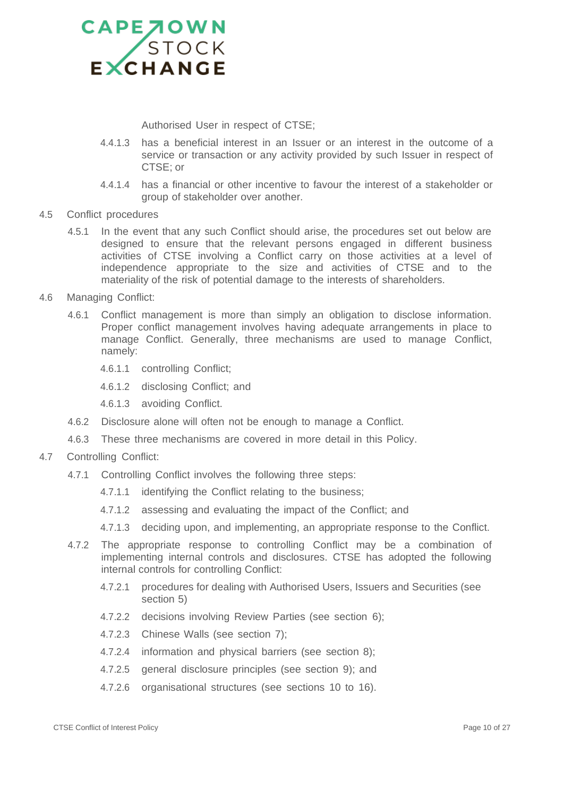

Authorised User in respect of CTSE;

- 4.4.1.3 has a beneficial interest in an Issuer or an interest in the outcome of a service or transaction or any activity provided by such Issuer in respect of CTSE; or
- 4.4.1.4 has a financial or other incentive to favour the interest of a stakeholder or group of stakeholder over another.
- 4.5 Conflict procedures
	- 4.5.1 In the event that any such Conflict should arise, the procedures set out below are designed to ensure that the relevant persons engaged in different business activities of CTSE involving a Conflict carry on those activities at a level of independence appropriate to the size and activities of CTSE and to the materiality of the risk of potential damage to the interests of shareholders.
- 4.6 Managing Conflict:
	- 4.6.1 Conflict management is more than simply an obligation to disclose information. Proper conflict management involves having adequate arrangements in place to manage Conflict. Generally, three mechanisms are used to manage Conflict, namely:
		- 4.6.1.1 controlling Conflict;
		- 4.6.1.2 disclosing Conflict; and
		- 4.6.1.3 avoiding Conflict.
	- 4.6.2 Disclosure alone will often not be enough to manage a Conflict.
	- 4.6.3 These three mechanisms are covered in more detail in this Policy.
- 4.7 Controlling Conflict:
	- 4.7.1 Controlling Conflict involves the following three steps:
		- 4.7.1.1 identifying the Conflict relating to the business;
		- 4.7.1.2 assessing and evaluating the impact of the Conflict; and
		- 4.7.1.3 deciding upon, and implementing, an appropriate response to the Conflict.
	- 4.7.2 The appropriate response to controlling Conflict may be a combination of implementing internal controls and disclosures. CTSE has adopted the following internal controls for controlling Conflict:
		- 4.7.2.1 procedures for dealing with Authorised Users, Issuers and Securities (see section 5)
		- 4.7.2.2 decisions involving Review Parties (see section 6);
		- 4.7.2.3 Chinese Walls (see section 7);
		- 4.7.2.4 information and physical barriers (see section 8);
		- 4.7.2.5 general disclosure principles (see section 9); and
		- 4.7.2.6 organisational structures (see sections 10 to 16).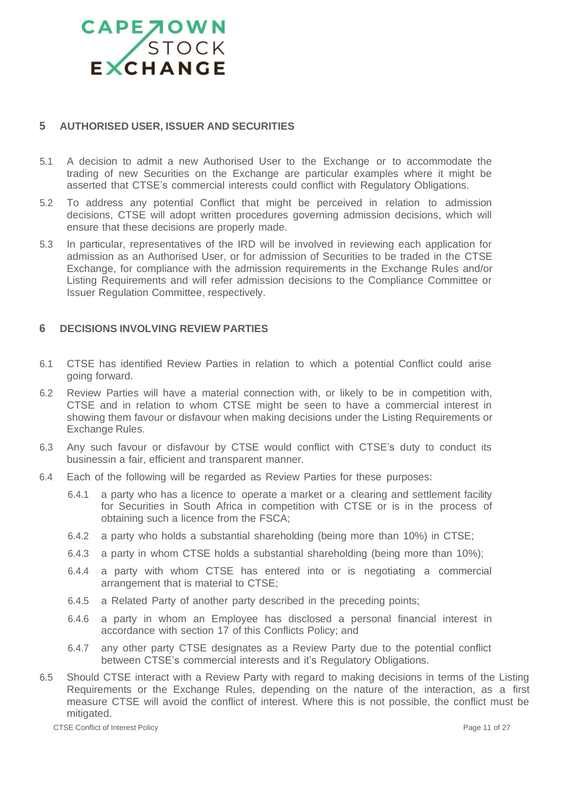### <span id="page-10-0"></span>**5 AUTHORISED USER, ISSUER AND SECURITIES**

- 5.1 A decision to admit a new Authorised User to the Exchange or to accommodate the trading of new Securities on the Exchange are particular examples where it might be asserted that CTSE's commercial interests could conflict with Regulatory Obligations.
- 5.2 To address any potential Conflict that might be perceived in relation to admission decisions, CTSE will adopt written procedures governing admission decisions, which will ensure that these decisions are properly made.
- 5.3 In particular, representatives of the IRD will be involved in reviewing each application for admission as an Authorised User, or for admission of Securities to be traded in the CTSE Exchange, for compliance with the admission requirements in the Exchange Rules and/or Listing Requirements and will refer admission decisions to the Compliance Committee or Issuer Regulation Committee, respectively.

### <span id="page-10-1"></span>**6 DECISIONS INVOLVING REVIEW PARTIES**

- 6.1 CTSE has identified Review Parties in relation to which a potential Conflict could arise going forward.
- 6.2 Review Parties will have a material connection with, or likely to be in competition with, CTSE and in relation to whom CTSE might be seen to have a commercial interest in showing them favour or disfavour when making decisions under the Listing Requirements or Exchange Rules.
- 6.3 Any such favour or disfavour by CTSE would conflict with CTSE's duty to conduct its businessin a fair, efficient and transparent manner.
- 6.4 Each of the following will be regarded as Review Parties for these purposes:
	- 6.4.1 a party who has a licence to operate a market or a clearing and settlement facility for Securities in South Africa in competition with CTSE or is in the process of obtaining such a licence from the FSCA;
	- 6.4.2 a party who holds a substantial shareholding (being more than 10%) in CTSE;
	- 6.4.3 a party in whom CTSE holds a substantial shareholding (being more than 10%);
	- 6.4.4 a party with whom CTSE has entered into or is negotiating a commercial arrangement that is material to CTSE;
	- 6.4.5 a Related Party of another party described in the preceding points;
	- 6.4.6 a party in whom an Employee has disclosed a personal financial interest in accordance with section 17 of this Conflicts Policy; and
	- 6.4.7 any other party CTSE designates as a Review Party due to the potential conflict between CTSE's commercial interests and it's Regulatory Obligations.
- 6.5 Should CTSE interact with a Review Party with regard to making decisions in terms of the Listing Requirements or the Exchange Rules, depending on the nature of the interaction, as a first measure CTSE will avoid the conflict of interest. Where this is not possible, the conflict must be mitigated.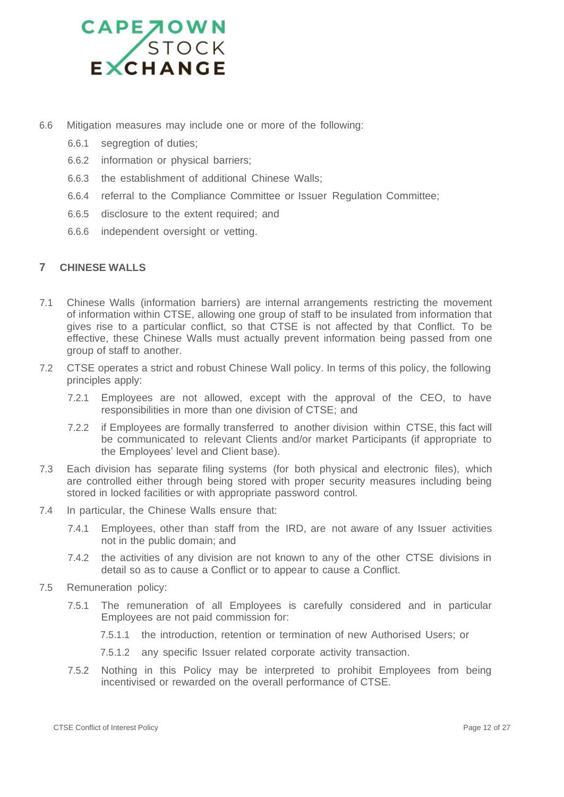

- 6.6 Mitigation measures may include one or more of the following:
	- 6.6.1 segregtion of duties;
	- 6.6.2 information or physical barriers;
	- 6.6.3 the establishment of additional Chinese Walls;
	- 6.6.4 referral to the Compliance Committee or Issuer Regulation Committee;
	- 6.6.5 disclosure to the extent required; and
	- 6.6.6 independent oversight or vetting.

### <span id="page-11-0"></span>**7 CHINESE WALLS**

- 7.1 Chinese Walls (information barriers) are internal arrangements restricting the movement of information within CTSE, allowing one group of staff to be insulated from information that gives rise to a particular conflict, so that CTSE is not affected by that Conflict. To be effective, these Chinese Walls must actually prevent information being passed from one group of staff to another.
- 7.2 CTSE operates a strict and robust Chinese Wall policy. In terms of this policy, the following principles apply:
	- 7.2.1 Employees are not allowed, except with the approval of the CEO, to have responsibilities in more than one division of CTSE; and
	- 7.2.2 if Employees are formally transferred to another division within CTSE, this fact will be communicated to relevant Clients and/or market Participants (if appropriate to the Employees' level and Client base).
- 7.3 Each division has separate filing systems (for both physical and electronic files), which are controlled either through being stored with proper security measures including being stored in locked facilities or with appropriate password control.
- 7.4 In particular, the Chinese Walls ensure that:
	- 7.4.1 Employees, other than staff from the IRD, are not aware of any Issuer activities not in the public domain; and
	- 7.4.2 the activities of any division are not known to any of the other CTSE divisions in detail so as to cause a Conflict or to appear to cause a Conflict.
- 7.5 Remuneration policy:
	- 7.5.1 The remuneration of all Employees is carefully considered and in particular Employees are not paid commission for:
		- 7.5.1.1 the introduction, retention or termination of new Authorised Users; or
		- 7.5.1.2 any specific Issuer related corporate activity transaction.
	- 7.5.2 Nothing in this Policy may be interpreted to prohibit Employees from being incentivised or rewarded on the overall performance of CTSE.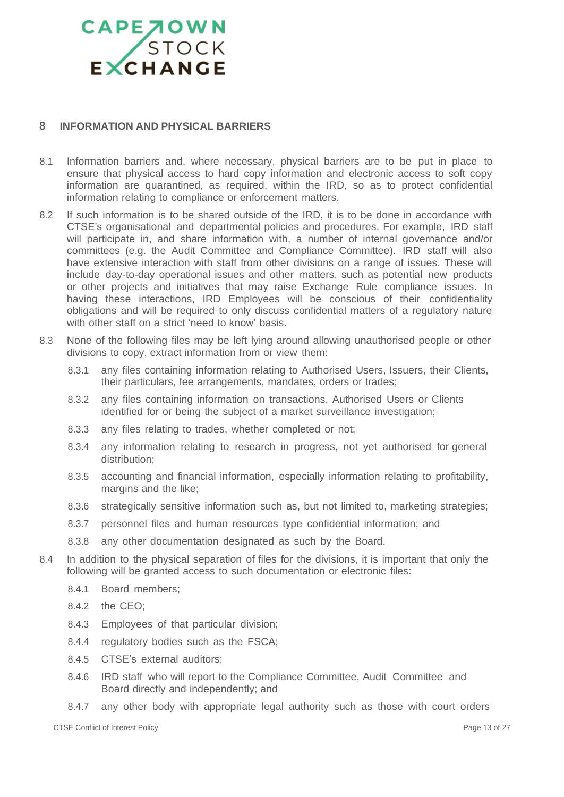### <span id="page-12-0"></span>**8 INFORMATION AND PHYSICAL BARRIERS**

- 8.1 Information barriers and, where necessary, physical barriers are to be put in place to ensure that physical access to hard copy information and electronic access to soft copy information are quarantined, as required, within the IRD, so as to protect confidential information relating to compliance or enforcement matters.
- 8.2 If such information is to be shared outside of the IRD, it is to be done in accordance with CTSE's organisational and departmental policies and procedures. For example, IRD staff will participate in, and share information with, a number of internal governance and/or committees (e.g. the Audit Committee and Compliance Committee). IRD staff will also have extensive interaction with staff from other divisions on a range of issues. These will include day-to-day operational issues and other matters, such as potential new products or other projects and initiatives that may raise Exchange Rule compliance issues. In having these interactions, IRD Employees will be conscious of their confidentiality obligations and will be required to only discuss confidential matters of a regulatory nature with other staff on a strict 'need to know' basis.
- 8.3 None of the following files may be left lying around allowing unauthorised people or other divisions to copy, extract information from or view them:
	- 8.3.1 any files containing information relating to Authorised Users, Issuers, their Clients, their particulars, fee arrangements, mandates, orders or trades;
	- 8.3.2 any files containing information on transactions, Authorised Users or Clients identified for or being the subject of a market surveillance investigation;
	- 8.3.3 any files relating to trades, whether completed or not;
	- 8.3.4 any information relating to research in progress, not yet authorised for general distribution;
	- 8.3.5 accounting and financial information, especially information relating to profitability, margins and the like;
	- 8.3.6 strategically sensitive information such as, but not limited to, marketing strategies;
	- 8.3.7 personnel files and human resources type confidential information; and
	- 8.3.8 any other documentation designated as such by the Board.
- 8.4 In addition to the physical separation of files for the divisions, it is important that only the following will be granted access to such documentation or electronic files:
	- 8.4.1 Board members;
	- 8.4.2 the CEO;
	- 8.4.3 Employees of that particular division;
	- 8.4.4 regulatory bodies such as the FSCA;
	- 8.4.5 CTSE's external auditors;
	- 8.4.6 IRD staff who will report to the Compliance Committee, Audit Committee and Board directly and independently; and
	- 8.4.7 any other body with appropriate legal authority such as those with court orders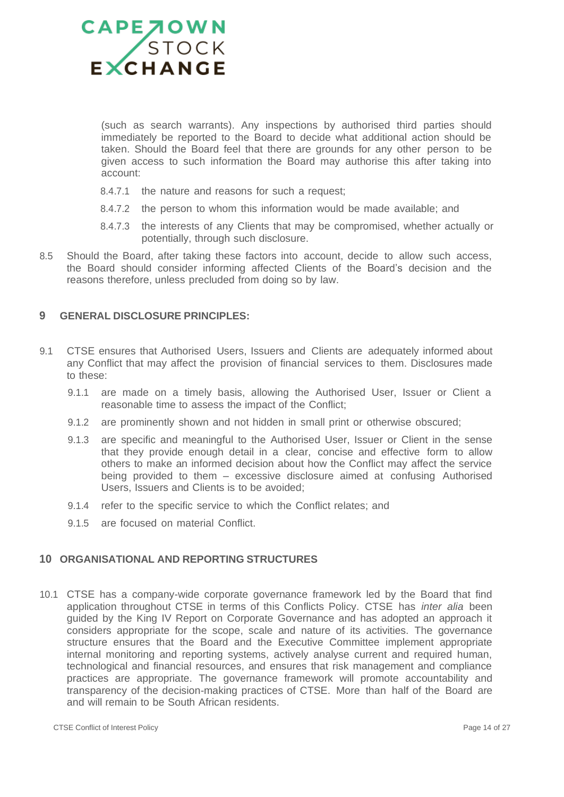

(such as search warrants). Any inspections by authorised third parties should immediately be reported to the Board to decide what additional action should be taken. Should the Board feel that there are grounds for any other person to be given access to such information the Board may authorise this after taking into account:

- 8.4.7.1 the nature and reasons for such a request;
- 8.4.7.2 the person to whom this information would be made available; and
- 8.4.7.3 the interests of any Clients that may be compromised, whether actually or potentially, through such disclosure.
- 8.5 Should the Board, after taking these factors into account, decide to allow such access, the Board should consider informing affected Clients of the Board's decision and the reasons therefore, unless precluded from doing so by law.

### <span id="page-13-0"></span>**9 GENERAL DISCLOSURE PRINCIPLES:**

- 9.1 CTSE ensures that Authorised Users, Issuers and Clients are adequately informed about any Conflict that may affect the provision of financial services to them. Disclosures made to these:
	- 9.1.1 are made on a timely basis, allowing the Authorised User, Issuer or Client a reasonable time to assess the impact of the Conflict;
	- 9.1.2 are prominently shown and not hidden in small print or otherwise obscured;
	- 9.1.3 are specific and meaningful to the Authorised User, Issuer or Client in the sense that they provide enough detail in a clear, concise and effective form to allow others to make an informed decision about how the Conflict may affect the service being provided to them – excessive disclosure aimed at confusing Authorised Users, Issuers and Clients is to be avoided;
	- 9.1.4 refer to the specific service to which the Conflict relates; and
	- 9.1.5 are focused on material Conflict.

### <span id="page-13-1"></span>**10 ORGANISATIONAL AND REPORTING STRUCTURES**

10.1 CTSE has a company-wide corporate governance framework led by the Board that find application throughout CTSE in terms of this Conflicts Policy. CTSE has *inter alia* been guided by the King IV Report on Corporate Governance and has adopted an approach it considers appropriate for the scope, scale and nature of its activities. The governance structure ensures that the Board and the Executive Committee implement appropriate internal monitoring and reporting systems, actively analyse current and required human, technological and financial resources, and ensures that risk management and compliance practices are appropriate. The governance framework will promote accountability and transparency of the decision-making practices of CTSE. More than half of the Board are and will remain to be South African residents.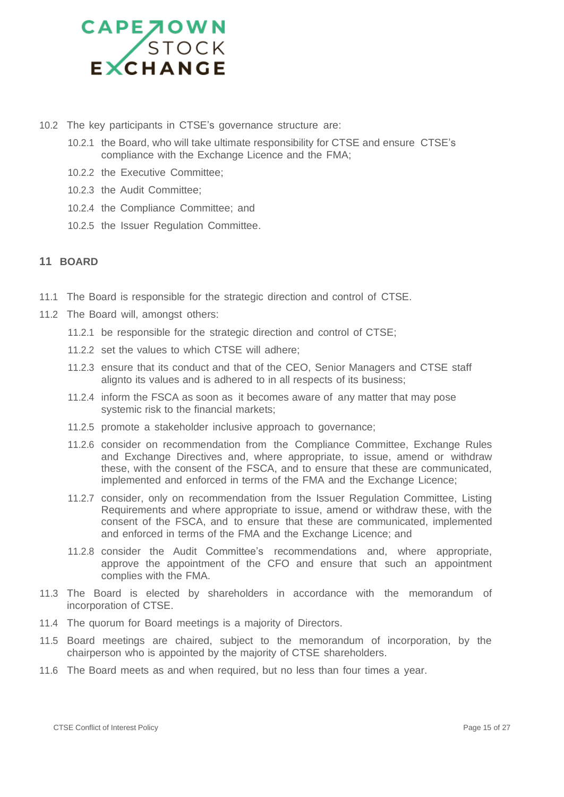

- 10.2 The key participants in CTSE's governance structure are:
	- 10.2.1 the Board, who will take ultimate responsibility for CTSE and ensure CTSE's compliance with the Exchange Licence and the FMA;
	- 10.2.2 the Executive Committee;
	- 10.2.3 the Audit Committee;
	- 10.2.4 the Compliance Committee; and
	- 10.2.5 the Issuer Regulation Committee.

### <span id="page-14-0"></span>**11 BOARD**

- 11.1 The Board is responsible for the strategic direction and control of CTSE.
- 11.2 The Board will, amongst others:
	- 11.2.1 be responsible for the strategic direction and control of CTSE;
	- 11.2.2 set the values to which CTSE will adhere;
	- 11.2.3 ensure that its conduct and that of the CEO, Senior Managers and CTSE staff alignto its values and is adhered to in all respects of its business;
	- 11.2.4 inform the FSCA as soon as it becomes aware of any matter that may pose systemic risk to the financial markets;
	- 11.2.5 promote a stakeholder inclusive approach to governance;
	- 11.2.6 consider on recommendation from the Compliance Committee, Exchange Rules and Exchange Directives and, where appropriate, to issue, amend or withdraw these, with the consent of the FSCA, and to ensure that these are communicated, implemented and enforced in terms of the FMA and the Exchange Licence;
	- 11.2.7 consider, only on recommendation from the Issuer Regulation Committee, Listing Requirements and where appropriate to issue, amend or withdraw these, with the consent of the FSCA, and to ensure that these are communicated, implemented and enforced in terms of the FMA and the Exchange Licence; and
	- 11.2.8 consider the Audit Committee's recommendations and, where appropriate, approve the appointment of the CFO and ensure that such an appointment complies with the FMA.
- 11.3 The Board is elected by shareholders in accordance with the memorandum of incorporation of CTSE.
- 11.4 The quorum for Board meetings is a majority of Directors.
- 11.5 Board meetings are chaired, subject to the memorandum of incorporation, by the chairperson who is appointed by the majority of CTSE shareholders.
- 11.6 The Board meets as and when required, but no less than four times a year.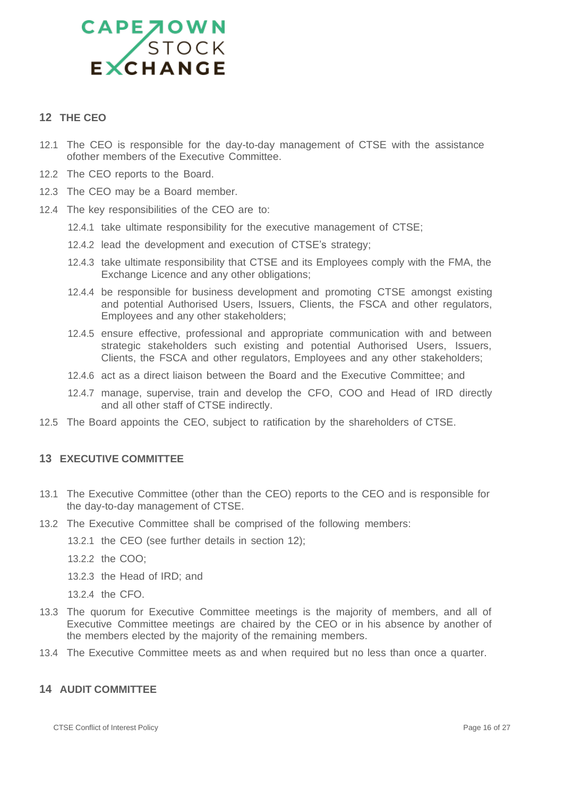

### <span id="page-15-0"></span>**12 THE CEO**

- 12.1 The CEO is responsible for the day-to-day management of CTSE with the assistance ofother members of the Executive Committee.
- 12.2 The CEO reports to the Board.
- 12.3 The CEO may be a Board member.
- 12.4 The key responsibilities of the CEO are to:
	- 12.4.1 take ultimate responsibility for the executive management of CTSE;
	- 12.4.2 lead the development and execution of CTSE's strategy;
	- 12.4.3 take ultimate responsibility that CTSE and its Employees comply with the FMA, the Exchange Licence and any other obligations;
	- 12.4.4 be responsible for business development and promoting CTSE amongst existing and potential Authorised Users, Issuers, Clients, the FSCA and other regulators, Employees and any other stakeholders;
	- 12.4.5 ensure effective, professional and appropriate communication with and between strategic stakeholders such existing and potential Authorised Users, Issuers, Clients, the FSCA and other regulators, Employees and any other stakeholders;
	- 12.4.6 act as a direct liaison between the Board and the Executive Committee; and
	- 12.4.7 manage, supervise, train and develop the CFO, COO and Head of IRD directly and all other staff of CTSE indirectly.
- 12.5 The Board appoints the CEO, subject to ratification by the shareholders of CTSE.

### <span id="page-15-1"></span>**13 EXECUTIVE COMMITTEE**

- 13.1 The Executive Committee (other than the CEO) reports to the CEO and is responsible for the day-to-day management of CTSE.
- 13.2 The Executive Committee shall be comprised of the following members:
	- 13.2.1 the CEO (see further details in section 12);
	- 13.2.2 the COO;
	- 13.2.3 the Head of IRD; and
	- 13.2.4 the CFO.
- 13.3 The quorum for Executive Committee meetings is the majority of members, and all of Executive Committee meetings are chaired by the CEO or in his absence by another of the members elected by the majority of the remaining members.
- 13.4 The Executive Committee meets as and when required but no less than once a quarter.

### <span id="page-15-2"></span>**14 AUDIT COMMITTEE**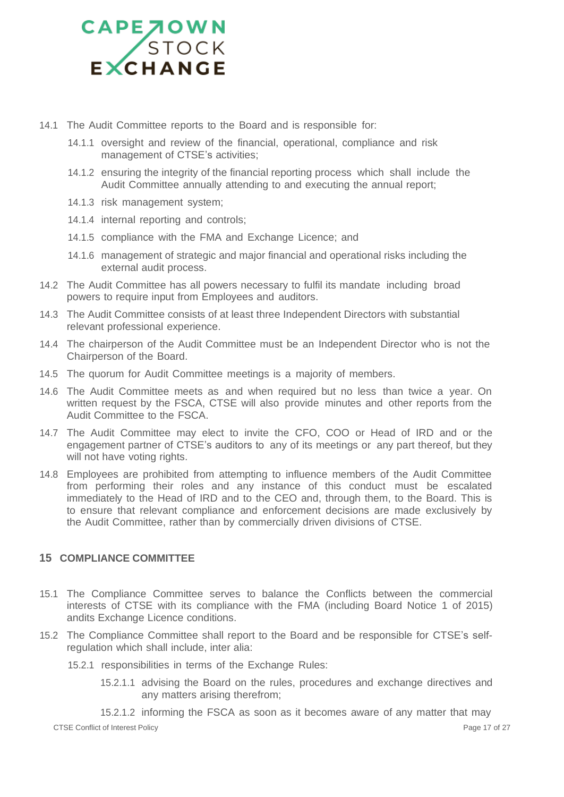- 14.1 The Audit Committee reports to the Board and is responsible for:
	- 14.1.1 oversight and review of the financial, operational, compliance and risk management of CTSE's activities;
	- 14.1.2 ensuring the integrity of the financial reporting process which shall include the Audit Committee annually attending to and executing the annual report;
	- 14.1.3 risk management system;
	- 14.1.4 internal reporting and controls;
	- 14.1.5 compliance with the FMA and Exchange Licence; and
	- 14.1.6 management of strategic and major financial and operational risks including the external audit process.
- 14.2 The Audit Committee has all powers necessary to fulfil its mandate including broad powers to require input from Employees and auditors.
- 14.3 The Audit Committee consists of at least three Independent Directors with substantial relevant professional experience.
- 14.4 The chairperson of the Audit Committee must be an Independent Director who is not the Chairperson of the Board.
- 14.5 The quorum for Audit Committee meetings is a majority of members.
- 14.6 The Audit Committee meets as and when required but no less than twice a year. On written request by the FSCA, CTSE will also provide minutes and other reports from the Audit Committee to the FSCA.
- 14.7 The Audit Committee may elect to invite the CFO, COO or Head of IRD and or the engagement partner of CTSE's auditors to any of its meetings or any part thereof, but they will not have voting rights.
- 14.8 Employees are prohibited from attempting to influence members of the Audit Committee from performing their roles and any instance of this conduct must be escalated immediately to the Head of IRD and to the CEO and, through them, to the Board. This is to ensure that relevant compliance and enforcement decisions are made exclusively by the Audit Committee, rather than by commercially driven divisions of CTSE.

### <span id="page-16-0"></span>**15 COMPLIANCE COMMITTEE**

- 15.1 The Compliance Committee serves to balance the Conflicts between the commercial interests of CTSE with its compliance with the FMA (including Board Notice 1 of 2015) andits Exchange Licence conditions.
- 15.2 The Compliance Committee shall report to the Board and be responsible for CTSE's selfregulation which shall include, inter alia:
	- 15.2.1 responsibilities in terms of the Exchange Rules:
		- 15.2.1.1 advising the Board on the rules, procedures and exchange directives and any matters arising therefrom;

CTSE Conflict of Interest Policy **Page 17 of 27** and 27 of 27 and 27 and 27 and 27 and 27 and 27 and 27 and 27 and 27 and 27 and 27 and 27 and 27 and 27 and 27 and 27 and 27 and 27 and 27 and 27 and 27 and 27 and 27 and 27 15.2.1.2 informing the FSCA as soon as it becomes aware of any matter that may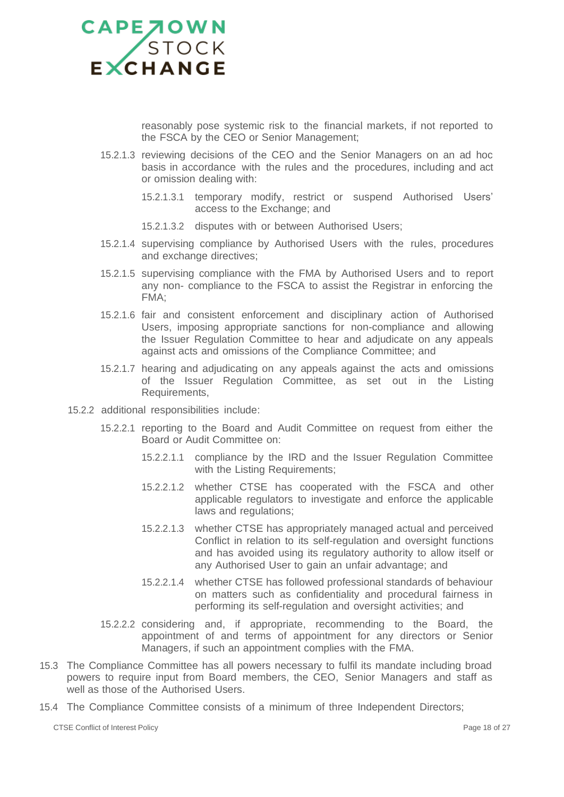

reasonably pose systemic risk to the financial markets, if not reported to the FSCA by the CEO or Senior Management;

- 15.2.1.3 reviewing decisions of the CEO and the Senior Managers on an ad hoc basis in accordance with the rules and the procedures, including and act or omission dealing with:
	- 15.2.1.3.1 temporary modify, restrict or suspend Authorised Users' access to the Exchange; and
	- 15.2.1.3.2 disputes with or between Authorised Users;
- 15.2.1.4 supervising compliance by Authorised Users with the rules, procedures and exchange directives;
- 15.2.1.5 supervising compliance with the FMA by Authorised Users and to report any non- compliance to the FSCA to assist the Registrar in enforcing the FMA;
- 15.2.1.6 fair and consistent enforcement and disciplinary action of Authorised Users, imposing appropriate sanctions for non-compliance and allowing the Issuer Regulation Committee to hear and adjudicate on any appeals against acts and omissions of the Compliance Committee; and
- 15.2.1.7 hearing and adjudicating on any appeals against the acts and omissions of the Issuer Regulation Committee, as set out in the Listing Requirements,
- 15.2.2 additional responsibilities include:
	- 15.2.2.1 reporting to the Board and Audit Committee on request from either the Board or Audit Committee on:
		- 15.2.2.1.1 compliance by the IRD and the Issuer Regulation Committee with the Listing Requirements;
		- 15.2.2.1.2 whether CTSE has cooperated with the FSCA and other applicable regulators to investigate and enforce the applicable laws and regulations;
		- 15.2.2.1.3 whether CTSE has appropriately managed actual and perceived Conflict in relation to its self-regulation and oversight functions and has avoided using its regulatory authority to allow itself or any Authorised User to gain an unfair advantage; and
		- 15.2.2.1.4 whether CTSE has followed professional standards of behaviour on matters such as confidentiality and procedural fairness in performing its self-regulation and oversight activities; and
	- 15.2.2.2 considering and, if appropriate, recommending to the Board, the appointment of and terms of appointment for any directors or Senior Managers, if such an appointment complies with the FMA.
- 15.3 The Compliance Committee has all powers necessary to fulfil its mandate including broad powers to require input from Board members, the CEO, Senior Managers and staff as well as those of the Authorised Users.
- 15.4 The Compliance Committee consists of a minimum of three Independent Directors;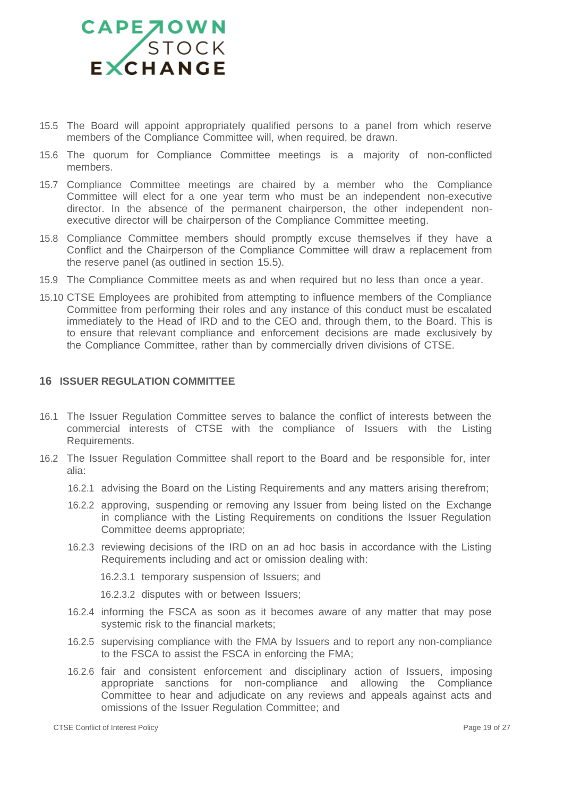- 15.5 The Board will appoint appropriately qualified persons to a panel from which reserve members of the Compliance Committee will, when required, be drawn.
- 15.6 The quorum for Compliance Committee meetings is a majority of non-conflicted members.
- 15.7 Compliance Committee meetings are chaired by a member who the Compliance Committee will elect for a one year term who must be an independent non-executive director. In the absence of the permanent chairperson, the other independent nonexecutive director will be chairperson of the Compliance Committee meeting.
- 15.8 Compliance Committee members should promptly excuse themselves if they have a Conflict and the Chairperson of the Compliance Committee will draw a replacement from the reserve panel (as outlined in section 15.5).
- 15.9 The Compliance Committee meets as and when required but no less than once a year.
- 15.10 CTSE Employees are prohibited from attempting to influence members of the Compliance Committee from performing their roles and any instance of this conduct must be escalated immediately to the Head of IRD and to the CEO and, through them, to the Board. This is to ensure that relevant compliance and enforcement decisions are made exclusively by the Compliance Committee, rather than by commercially driven divisions of CTSE.

### <span id="page-18-0"></span>**16 ISSUER REGULATION COMMITTEE**

- 16.1 The Issuer Regulation Committee serves to balance the conflict of interests between the commercial interests of CTSE with the compliance of Issuers with the Listing Requirements.
- 16.2 The Issuer Regulation Committee shall report to the Board and be responsible for, inter alia:
	- 16.2.1 advising the Board on the Listing Requirements and any matters arising therefrom;
	- 16.2.2 approving, suspending or removing any Issuer from being listed on the Exchange in compliance with the Listing Requirements on conditions the Issuer Regulation Committee deems appropriate;
	- 16.2.3 reviewing decisions of the IRD on an ad hoc basis in accordance with the Listing Requirements including and act or omission dealing with:

16.2.3.1 temporary suspension of Issuers; and

16.2.3.2 disputes with or between Issuers;

- 16.2.4 informing the FSCA as soon as it becomes aware of any matter that may pose systemic risk to the financial markets;
- 16.2.5 supervising compliance with the FMA by Issuers and to report any non-compliance to the FSCA to assist the FSCA in enforcing the FMA;
- 16.2.6 fair and consistent enforcement and disciplinary action of Issuers, imposing appropriate sanctions for non-compliance and allowing the Compliance Committee to hear and adjudicate on any reviews and appeals against acts and omissions of the Issuer Regulation Committee; and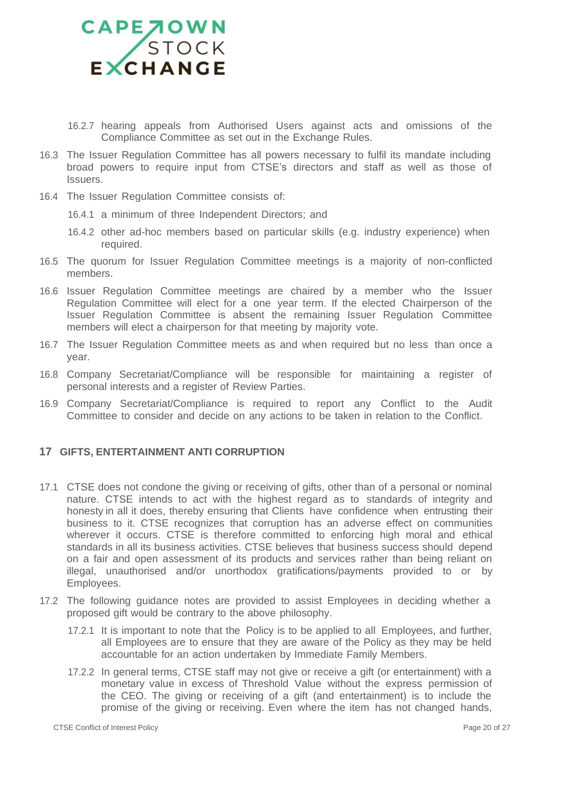

- 16.2.7 hearing appeals from Authorised Users against acts and omissions of the Compliance Committee as set out in the Exchange Rules.
- 16.3 The Issuer Regulation Committee has all powers necessary to fulfil its mandate including broad powers to require input from CTSE's directors and staff as well as those of Issuers.
- 16.4 The Issuer Regulation Committee consists of:
	- 16.4.1 a minimum of three Independent Directors; and
	- 16.4.2 other ad-hoc members based on particular skills (e.g. industry experience) when required.
- 16.5 The quorum for Issuer Regulation Committee meetings is a majority of non-conflicted members.
- 16.6 Issuer Regulation Committee meetings are chaired by a member who the Issuer Regulation Committee will elect for a one year term. If the elected Chairperson of the Issuer Regulation Committee is absent the remaining Issuer Regulation Committee members will elect a chairperson for that meeting by majority vote.
- 16.7 The Issuer Regulation Committee meets as and when required but no less than once a year.
- 16.8 Company Secretariat/Compliance will be responsible for maintaining a register of personal interests and a register of Review Parties.
- 16.9 Company Secretariat/Compliance is required to report any Conflict to the Audit Committee to consider and decide on any actions to be taken in relation to the Conflict.

### <span id="page-19-0"></span>**17 GIFTS, ENTERTAINMENT ANTI CORRUPTION**

- 17.1 CTSE does not condone the giving or receiving of gifts, other than of a personal or nominal nature. CTSE intends to act with the highest regard as to standards of integrity and honesty in all it does, thereby ensuring that Clients have confidence when entrusting their business to it. CTSE recognizes that corruption has an adverse effect on communities wherever it occurs. CTSE is therefore committed to enforcing high moral and ethical standards in all its business activities. CTSE believes that business success should depend on a fair and open assessment of its products and services rather than being reliant on illegal, unauthorised and/or unorthodox gratifications/payments provided to or by Employees.
- 17.2 The following guidance notes are provided to assist Employees in deciding whether a proposed gift would be contrary to the above philosophy.
	- 17.2.1 It is important to note that the Policy is to be applied to all Employees, and further, all Employees are to ensure that they are aware of the Policy as they may be held accountable for an action undertaken by Immediate Family Members.
	- 17.2.2 In general terms, CTSE staff may not give or receive a gift (or entertainment) with a monetary value in excess of Threshold Value without the express permission of the CEO. The giving or receiving of a gift (and entertainment) is to include the promise of the giving or receiving. Even where the item has not changed hands,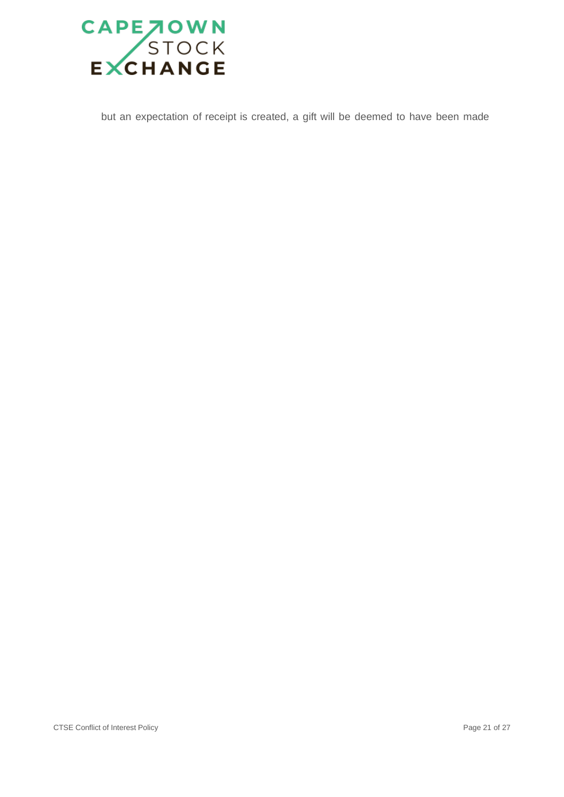

but an expectation of receipt is created, a gift will be deemed to have been made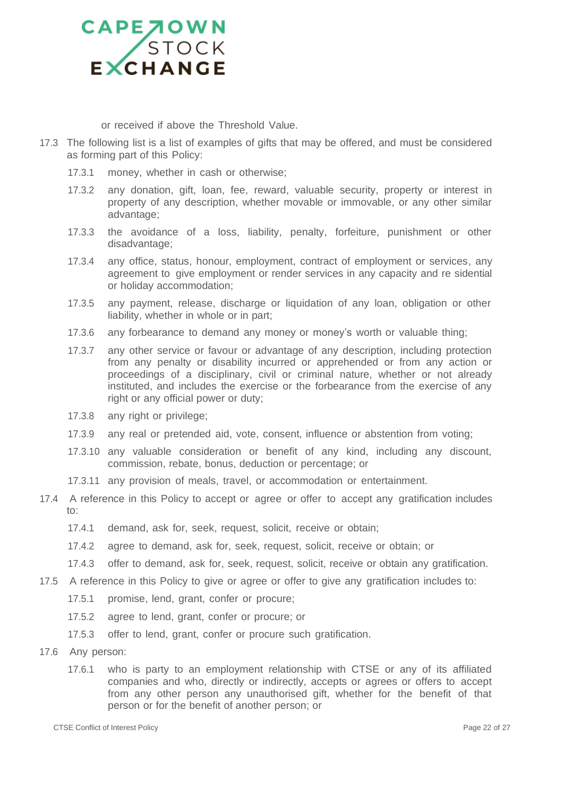

or received if above the Threshold Value.

- 17.3 The following list is a list of examples of gifts that may be offered, and must be considered as forming part of this Policy:
	- 17.3.1 money, whether in cash or otherwise;
	- 17.3.2 any donation, gift, loan, fee, reward, valuable security, property or interest in property of any description, whether movable or immovable, or any other similar advantage;
	- 17.3.3 the avoidance of a loss, liability, penalty, forfeiture, punishment or other disadvantage;
	- 17.3.4 any office, status, honour, employment, contract of employment or services, any agreement to give employment or render services in any capacity and re sidential or holiday accommodation;
	- 17.3.5 any payment, release, discharge or liquidation of any loan, obligation or other liability, whether in whole or in part;
	- 17.3.6 any forbearance to demand any money or money's worth or valuable thing;
	- 17.3.7 any other service or favour or advantage of any description, including protection from any penalty or disability incurred or apprehended or from any action or proceedings of a disciplinary, civil or criminal nature, whether or not already instituted, and includes the exercise or the forbearance from the exercise of any right or any official power or duty;
	- 17.3.8 any right or privilege;
	- 17.3.9 any real or pretended aid, vote, consent, influence or abstention from voting;
	- 17.3.10 any valuable consideration or benefit of any kind, including any discount, commission, rebate, bonus, deduction or percentage; or
	- 17.3.11 any provision of meals, travel, or accommodation or entertainment.
- 17.4 A reference in this Policy to accept or agree or offer to accept any gratification includes to:
	- 17.4.1 demand, ask for, seek, request, solicit, receive or obtain;
	- 17.4.2 agree to demand, ask for, seek, request, solicit, receive or obtain; or
	- 17.4.3 offer to demand, ask for, seek, request, solicit, receive or obtain any gratification.
- 17.5 A reference in this Policy to give or agree or offer to give any gratification includes to:
	- 17.5.1 promise, lend, grant, confer or procure;
	- 17.5.2 agree to lend, grant, confer or procure; or
	- 17.5.3 offer to lend, grant, confer or procure such gratification.
- 17.6 Any person:
	- 17.6.1 who is party to an employment relationship with CTSE or any of its affiliated companies and who, directly or indirectly, accepts or agrees or offers to accept from any other person any unauthorised gift, whether for the benefit of that person or for the benefit of another person; or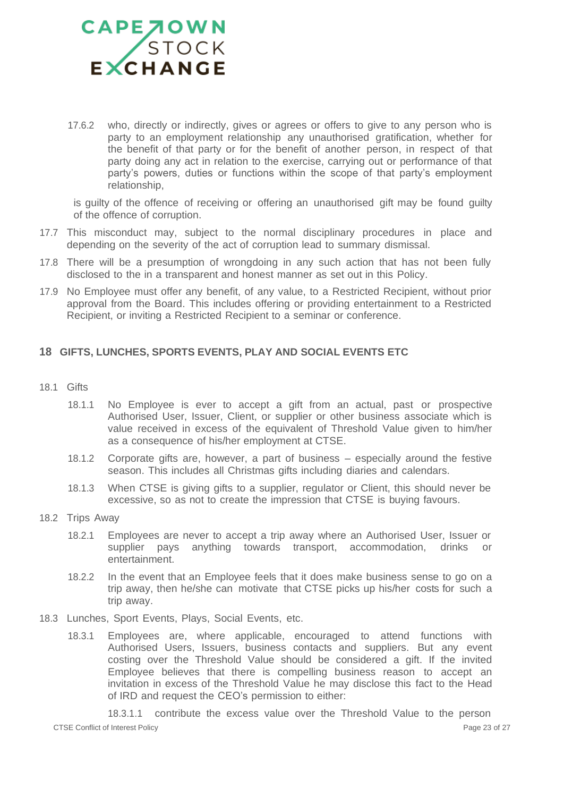

17.6.2 who, directly or indirectly, gives or agrees or offers to give to any person who is party to an employment relationship any unauthorised gratification, whether for the benefit of that party or for the benefit of another person, in respect of that party doing any act in relation to the exercise, carrying out or performance of that party's powers, duties or functions within the scope of that party's employment relationship,

is guilty of the offence of receiving or offering an unauthorised gift may be found guilty of the offence of corruption.

- 17.7 This misconduct may, subject to the normal disciplinary procedures in place and depending on the severity of the act of corruption lead to summary dismissal.
- 17.8 There will be a presumption of wrongdoing in any such action that has not been fully disclosed to the in a transparent and honest manner as set out in this Policy.
- 17.9 No Employee must offer any benefit, of any value, to a Restricted Recipient, without prior approval from the Board. This includes offering or providing entertainment to a Restricted Recipient, or inviting a Restricted Recipient to a seminar or conference.

### <span id="page-22-0"></span>**18 GIFTS, LUNCHES, SPORTS EVENTS, PLAY AND SOCIAL EVENTS ETC**

- 18.1 Gifts
	- 18.1.1 No Employee is ever to accept a gift from an actual, past or prospective Authorised User, Issuer, Client, or supplier or other business associate which is value received in excess of the equivalent of Threshold Value given to him/her as a consequence of his/her employment at CTSE.
	- 18.1.2 Corporate gifts are, however, a part of business especially around the festive season. This includes all Christmas gifts including diaries and calendars.
	- 18.1.3 When CTSE is giving gifts to a supplier, regulator or Client, this should never be excessive, so as not to create the impression that CTSE is buying favours.
- 18.2 Trips Away
	- 18.2.1 Employees are never to accept a trip away where an Authorised User, Issuer or supplier pays anything towards transport, accommodation, drinks or entertainment.
	- 18.2.2 In the event that an Employee feels that it does make business sense to go on a trip away, then he/she can motivate that CTSE picks up his/her costs for such a trip away.
- 18.3 Lunches, Sport Events, Plays, Social Events, etc.
	- 18.3.1 Employees are, where applicable, encouraged to attend functions with Authorised Users, Issuers, business contacts and suppliers. But any event costing over the Threshold Value should be considered a gift. If the invited Employee believes that there is compelling business reason to accept an invitation in excess of the Threshold Value he may disclose this fact to the Head of IRD and request the CEO's permission to either:

CTSE Conflict of Interest Policy **Page 23 of 27** CTSE Conflict of Interest Policy 18.3.1.1 contribute the excess value over the Threshold Value to the person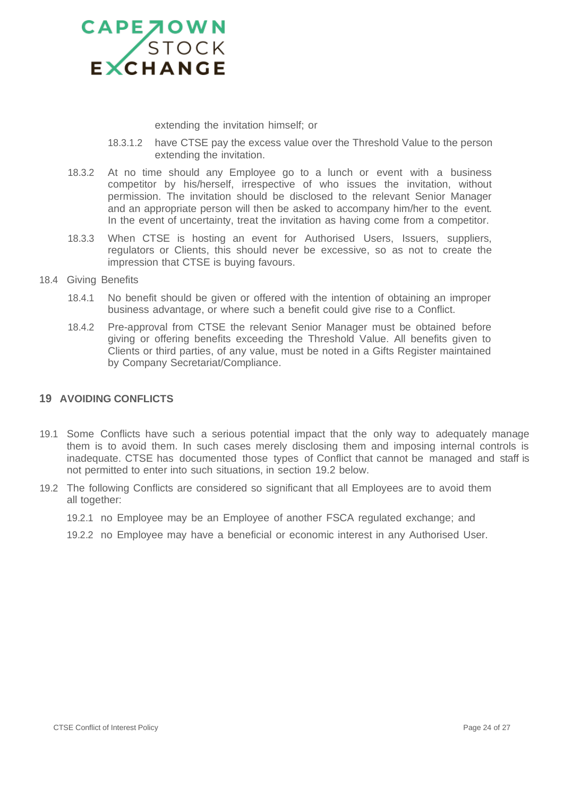

extending the invitation himself; or

- 18.3.1.2 have CTSE pay the excess value over the Threshold Value to the person extending the invitation.
- 18.3.2 At no time should any Employee go to a lunch or event with a business competitor by his/herself, irrespective of who issues the invitation, without permission. The invitation should be disclosed to the relevant Senior Manager and an appropriate person will then be asked to accompany him/her to the event. In the event of uncertainty, treat the invitation as having come from a competitor.
- 18.3.3 When CTSE is hosting an event for Authorised Users, Issuers, suppliers, regulators or Clients, this should never be excessive, so as not to create the impression that CTSE is buying favours.
- 18.4 Giving Benefits
	- 18.4.1 No benefit should be given or offered with the intention of obtaining an improper business advantage, or where such a benefit could give rise to a Conflict.
	- 18.4.2 Pre-approval from CTSE the relevant Senior Manager must be obtained before giving or offering benefits exceeding the Threshold Value. All benefits given to Clients or third parties, of any value, must be noted in a Gifts Register maintained by Company Secretariat/Compliance.

### <span id="page-23-0"></span>**19 AVOIDING CONFLICTS**

- 19.1 Some Conflicts have such a serious potential impact that the only way to adequately manage them is to avoid them. In such cases merely disclosing them and imposing internal controls is inadequate. CTSE has documented those types of Conflict that cannot be managed and staff is not permitted to enter into such situations, in section 19.2 below.
- 19.2 The following Conflicts are considered so significant that all Employees are to avoid them all together:
	- 19.2.1 no Employee may be an Employee of another FSCA regulated exchange; and
	- 19.2.2 no Employee may have a beneficial or economic interest in any Authorised User.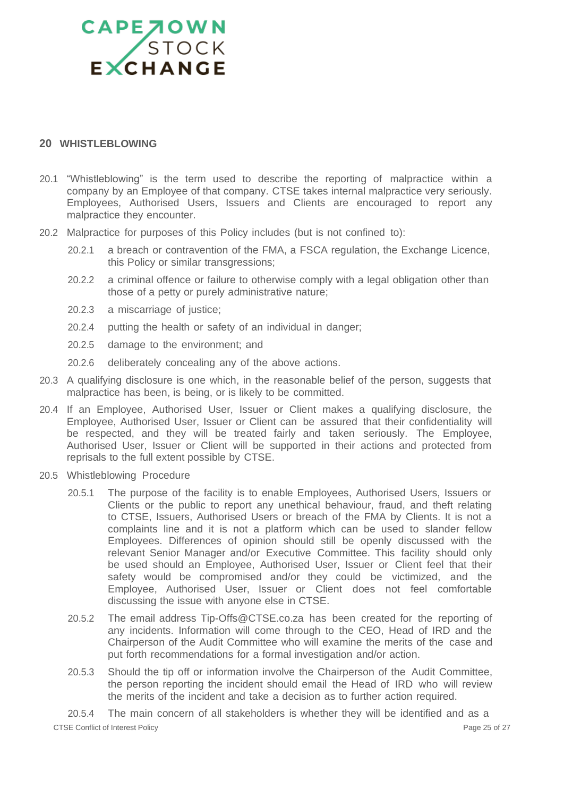### <span id="page-24-0"></span>**20 WHISTLEBLOWING**

- 20.1 "Whistleblowing" is the term used to describe the reporting of malpractice within a company by an Employee of that company. CTSE takes internal malpractice very seriously. Employees, Authorised Users, Issuers and Clients are encouraged to report any malpractice they encounter.
- 20.2 Malpractice for purposes of this Policy includes (but is not confined to):
	- 20.2.1 a breach or contravention of the FMA, a FSCA regulation, the Exchange Licence, this Policy or similar transgressions;
	- 20.2.2 a criminal offence or failure to otherwise comply with a legal obligation other than those of a petty or purely administrative nature;
	- 20.2.3 a miscarriage of justice;
	- 20.2.4 putting the health or safety of an individual in danger;
	- 20.2.5 damage to the environment; and
	- 20.2.6 deliberately concealing any of the above actions.
- 20.3 A qualifying disclosure is one which, in the reasonable belief of the person, suggests that malpractice has been, is being, or is likely to be committed.
- 20.4 If an Employee, Authorised User, Issuer or Client makes a qualifying disclosure, the Employee, Authorised User, Issuer or Client can be assured that their confidentiality will be respected, and they will be treated fairly and taken seriously. The Employee, Authorised User, Issuer or Client will be supported in their actions and protected from reprisals to the full extent possible by CTSE.
- 20.5 Whistleblowing Procedure
	- 20.5.1 The purpose of the facility is to enable Employees, Authorised Users, Issuers or Clients or the public to report any unethical behaviour, fraud, and theft relating to CTSE, Issuers, Authorised Users or breach of the FMA by Clients. It is not a complaints line and it is not a platform which can be used to slander fellow Employees. Differences of opinion should still be openly discussed with the relevant Senior Manager and/or Executive Committee. This facility should only be used should an Employee, Authorised User, Issuer or Client feel that their safety would be compromised and/or they could be victimized, and the Employee, Authorised User, Issuer or Client does not feel comfortable discussing the issue with anyone else in CTSE.
	- 20.5.2 The email address [Tip-Offs@CTSE.co.za](mailto:Tip-Offs@4AX.co.za) has been created for the reporting of any incidents. Information will come through to the CEO, Head of IRD and the Chairperson of the Audit Committee who will examine the merits of the case and put forth recommendations for a formal investigation and/or action.
	- 20.5.3 Should the tip off or information involve the Chairperson of the Audit Committee, the person reporting the incident should email the Head of IRD who will review the merits of the incident and take a decision as to further action required.

CTSE Conflict of Interest Policy **Page 25 of 27** Page 25 of 27 20.5.4 The main concern of all stakeholders is whether they will be identified and as a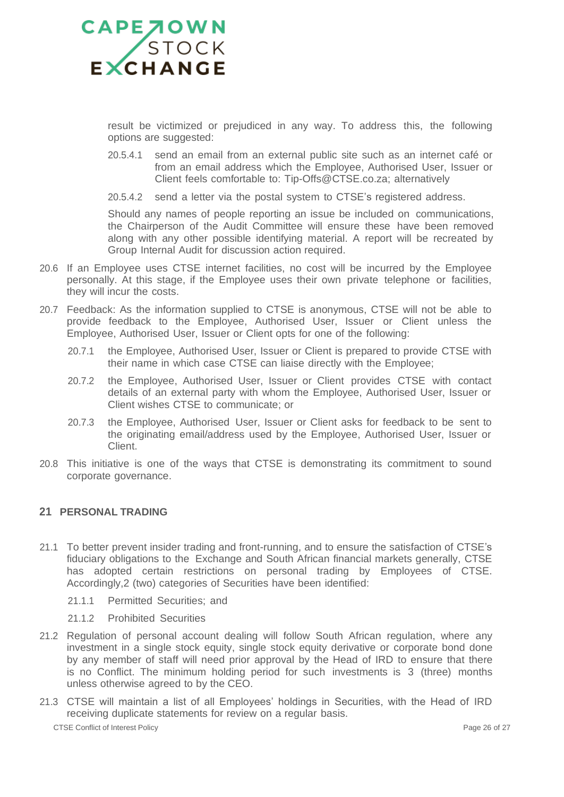

result be victimized or prejudiced in any way. To address this, the following options are suggested:

- 20.5.4.1 send an email from an external public site such as an internet café or from an email address which the Employee, Authorised User, Issuer or Client feels comfortable to: Tip-Offs@CTSE.co.za; alternatively
- 20.5.4.2 send a letter via the postal system to CTSE's registered address.

Should any names of people reporting an issue be included on communications, the Chairperson of the Audit Committee will ensure these have been removed along with any other possible identifying material. A report will be recreated by Group Internal Audit for discussion action required.

- 20.6 If an Employee uses CTSE internet facilities, no cost will be incurred by the Employee personally. At this stage, if the Employee uses their own private telephone or facilities, they will incur the costs.
- 20.7 Feedback: As the information supplied to CTSE is anonymous, CTSE will not be able to provide feedback to the Employee, Authorised User, Issuer or Client unless the Employee, Authorised User, Issuer or Client opts for one of the following:
	- 20.7.1 the Employee, Authorised User, Issuer or Client is prepared to provide CTSE with their name in which case CTSE can liaise directly with the Employee;
	- 20.7.2 the Employee, Authorised User, Issuer or Client provides CTSE with contact details of an external party with whom the Employee, Authorised User, Issuer or Client wishes CTSE to communicate; or
	- 20.7.3 the Employee, Authorised User, Issuer or Client asks for feedback to be sent to the originating email/address used by the Employee, Authorised User, Issuer or Client.
- 20.8 This initiative is one of the ways that CTSE is demonstrating its commitment to sound corporate governance.

### <span id="page-25-0"></span>**21 PERSONAL TRADING**

- 21.1 To better prevent insider trading and front-running, and to ensure the satisfaction of CTSE's fiduciary obligations to the Exchange and South African financial markets generally, CTSE has adopted certain restrictions on personal trading by Employees of CTSE. Accordingly,2 (two) categories of Securities have been identified:
	- 21.1.1 Permitted Securities; and
	- 21.1.2 Prohibited Securities
- 21.2 Regulation of personal account dealing will follow South African regulation, where any investment in a single stock equity, single stock equity derivative or corporate bond done by any member of staff will need prior approval by the Head of IRD to ensure that there is no Conflict. The minimum holding period for such investments is 3 (three) months unless otherwise agreed to by the CEO.
- 21.3 CTSE will maintain a list of all Employees' holdings in Securities, with the Head of IRD receiving duplicate statements for review on a regular basis.

CTSE Conflict of Interest Policy **Page 26 of 27** and 20 of 27 and 26 of 27 and 26 of 27 and 26 of 27 and 28 of 27 and 28 of 27 and 28 of 27 and 28 of 27 and 28 of 27 and 28 of 27 and 28 of 27 and 28 of 27 and 28 of 27 and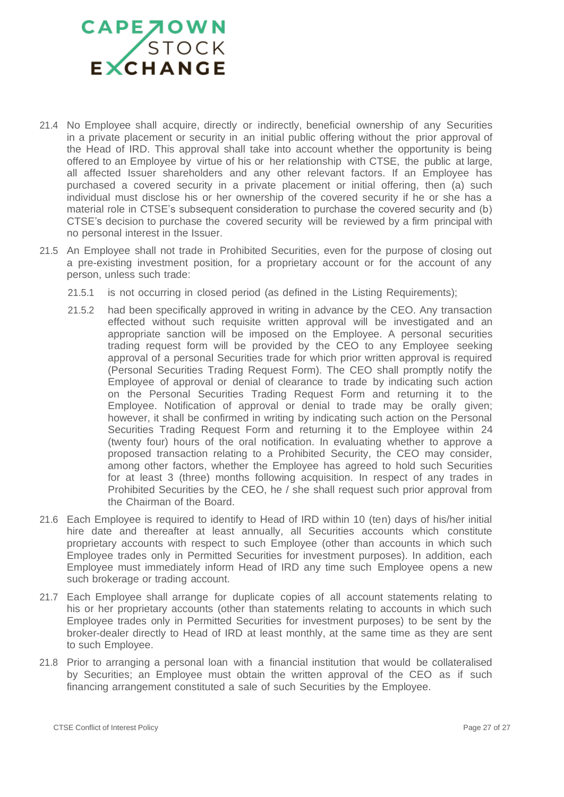- 21.4 No Employee shall acquire, directly or indirectly, beneficial ownership of any Securities in a private placement or security in an initial public offering without the prior approval of the Head of IRD. This approval shall take into account whether the opportunity is being offered to an Employee by virtue of his or her relationship with CTSE, the public at large, all affected Issuer shareholders and any other relevant factors. If an Employee has purchased a covered security in a private placement or initial offering, then (a) such individual must disclose his or her ownership of the covered security if he or she has a material role in CTSE's subsequent consideration to purchase the covered security and (b) CTSE's decision to purchase the covered security will be reviewed by a firm principal with no personal interest in the Issuer.
- 21.5 An Employee shall not trade in Prohibited Securities, even for the purpose of closing out a pre-existing investment position, for a proprietary account or for the account of any person, unless such trade:
	- 21.5.1 is not occurring in closed period (as defined in the Listing Requirements);
	- 21.5.2 had been specifically approved in writing in advance by the CEO. Any transaction effected without such requisite written approval will be investigated and an appropriate sanction will be imposed on the Employee. A personal securities trading request form will be provided by the CEO to any Employee seeking approval of a personal Securities trade for which prior written approval is required (Personal Securities Trading Request Form). The CEO shall promptly notify the Employee of approval or denial of clearance to trade by indicating such action on the Personal Securities Trading Request Form and returning it to the Employee. Notification of approval or denial to trade may be orally given; however, it shall be confirmed in writing by indicating such action on the Personal Securities Trading Request Form and returning it to the Employee within 24 (twenty four) hours of the oral notification. In evaluating whether to approve a proposed transaction relating to a Prohibited Security, the CEO may consider, among other factors, whether the Employee has agreed to hold such Securities for at least 3 (three) months following acquisition. In respect of any trades in Prohibited Securities by the CEO, he / she shall request such prior approval from the Chairman of the Board.
- 21.6 Each Employee is required to identify to Head of IRD within 10 (ten) days of his/her initial hire date and thereafter at least annually, all Securities accounts which constitute proprietary accounts with respect to such Employee (other than accounts in which such Employee trades only in Permitted Securities for investment purposes). In addition, each Employee must immediately inform Head of IRD any time such Employee opens a new such brokerage or trading account.
- 21.7 Each Employee shall arrange for duplicate copies of all account statements relating to his or her proprietary accounts (other than statements relating to accounts in which such Employee trades only in Permitted Securities for investment purposes) to be sent by the broker-dealer directly to Head of IRD at least monthly, at the same time as they are sent to such Employee.
- 21.8 Prior to arranging a personal loan with a financial institution that would be collateralised by Securities; an Employee must obtain the written approval of the CEO as if such financing arrangement constituted a sale of such Securities by the Employee.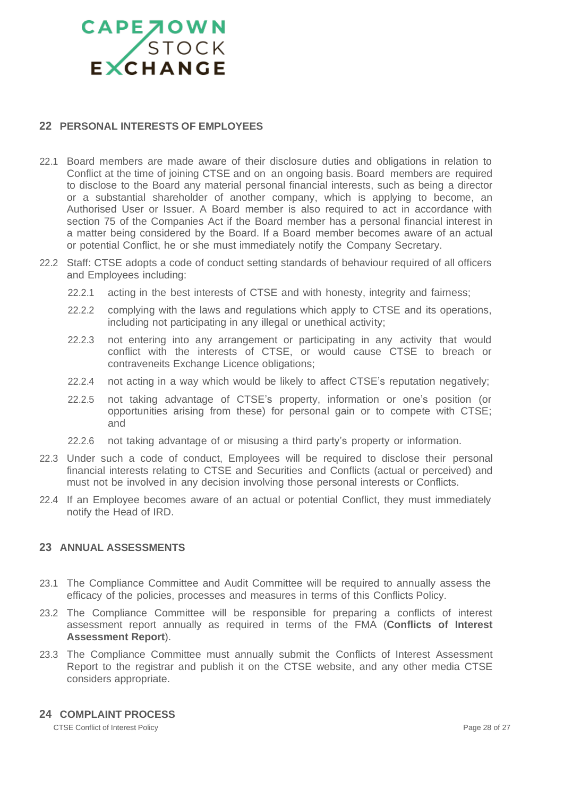### CAPE TOWN

### <span id="page-27-0"></span>**22 PERSONAL INTERESTS OF EMPLOYEES**

- 22.1 Board members are made aware of their disclosure duties and obligations in relation to Conflict at the time of joining CTSE and on an ongoing basis. Board members are required to disclose to the Board any material personal financial interests, such as being a director or a substantial shareholder of another company, which is applying to become, an Authorised User or Issuer. A Board member is also required to act in accordance with section 75 of the Companies Act if the Board member has a personal financial interest in a matter being considered by the Board. If a Board member becomes aware of an actual or potential Conflict, he or she must immediately notify the Company Secretary.
- 22.2 Staff: CTSE adopts a code of conduct setting standards of behaviour required of all officers and Employees including:
	- 22.2.1 acting in the best interests of CTSE and with honesty, integrity and fairness;
	- 22.2.2 complying with the laws and regulations which apply to CTSE and its operations, including not participating in any illegal or unethical activity;
	- 22.2.3 not entering into any arrangement or participating in any activity that would conflict with the interests of CTSE, or would cause CTSE to breach or contraveneits Exchange Licence obligations;
	- 22.2.4 not acting in a way which would be likely to affect CTSE's reputation negatively;
	- 22.2.5 not taking advantage of CTSE's property, information or one's position (or opportunities arising from these) for personal gain or to compete with CTSE; and
	- 22.2.6 not taking advantage of or misusing a third party's property or information.
- 22.3 Under such a code of conduct, Employees will be required to disclose their personal financial interests relating to CTSE and Securities and Conflicts (actual or perceived) and must not be involved in any decision involving those personal interests or Conflicts.
- 22.4 If an Employee becomes aware of an actual or potential Conflict, they must immediately notify the Head of IRD.

### <span id="page-27-1"></span>**23 ANNUAL ASSESSMENTS**

- 23.1 The Compliance Committee and Audit Committee will be required to annually assess the efficacy of the policies, processes and measures in terms of this Conflicts Policy.
- 23.2 The Compliance Committee will be responsible for preparing a conflicts of interest assessment report annually as required in terms of the FMA (**Conflicts of Interest Assessment Report**).
- 23.3 The Compliance Committee must annually submit the Conflicts of Interest Assessment Report to the registrar and publish it on the CTSE website, and any other media CTSE considers appropriate.

### <span id="page-27-2"></span>**24 COMPLAINT PROCESS**

CTSE Conflict of Interest Policy **Page 28 of 27** CTSE Conflict of Interest Policy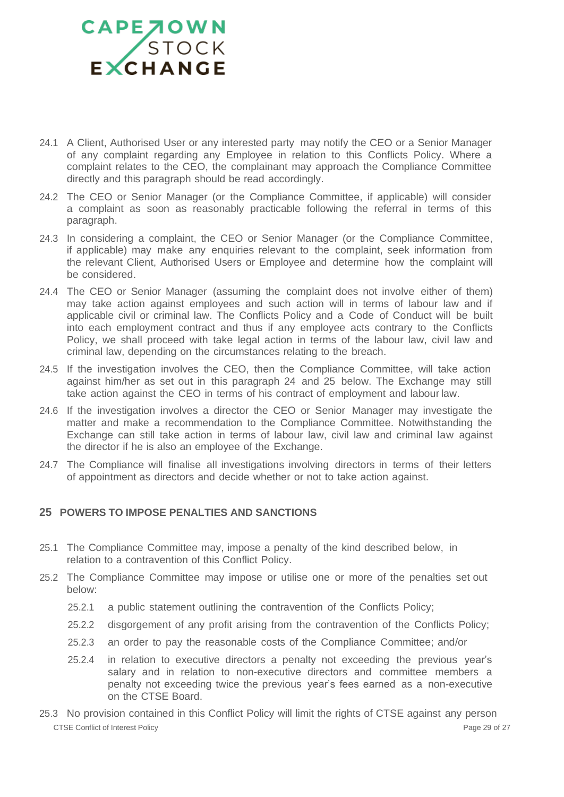- 24.1 A Client, Authorised User or any interested party may notify the CEO or a Senior Manager of any complaint regarding any Employee in relation to this Conflicts Policy. Where a complaint relates to the CEO, the complainant may approach the Compliance Committee directly and this paragraph should be read accordingly.
- 24.2 The CEO or Senior Manager (or the Compliance Committee, if applicable) will consider a complaint as soon as reasonably practicable following the referral in terms of this paragraph.
- 24.3 In considering a complaint, the CEO or Senior Manager (or the Compliance Committee, if applicable) may make any enquiries relevant to the complaint, seek information from the relevant Client, Authorised Users or Employee and determine how the complaint will be considered.
- 24.4 The CEO or Senior Manager (assuming the complaint does not involve either of them) may take action against employees and such action will in terms of labour law and if applicable civil or criminal law. The Conflicts Policy and a Code of Conduct will be built into each employment contract and thus if any employee acts contrary to the Conflicts Policy, we shall proceed with take legal action in terms of the labour law, civil law and criminal law, depending on the circumstances relating to the breach.
- 24.5 If the investigation involves the CEO, then the Compliance Committee, will take action against him/her as set out in this paragraph 24 and 25 below. The Exchange may still take action against the CEO in terms of his contract of employment and labour law.
- 24.6 If the investigation involves a director the CEO or Senior Manager may investigate the matter and make a recommendation to the Compliance Committee. Notwithstanding the Exchange can still take action in terms of labour law, civil law and criminal law against the director if he is also an employee of the Exchange.
- 24.7 The Compliance will finalise all investigations involving directors in terms of their letters of appointment as directors and decide whether or not to take action against.

### <span id="page-28-0"></span>**25 POWERS TO IMPOSE PENALTIES AND SANCTIONS**

- 25.1 The Compliance Committee may, impose a penalty of the kind described below, in relation to a contravention of this Conflict Policy.
- 25.2 The Compliance Committee may impose or utilise one or more of the penalties set out below:
	- 25.2.1 a public statement outlining the contravention of the Conflicts Policy;
	- 25.2.2 disgorgement of any profit arising from the contravention of the Conflicts Policy;
	- 25.2.3 an order to pay the reasonable costs of the Compliance Committee; and/or
	- 25.2.4 in relation to executive directors a penalty not exceeding the previous year's salary and in relation to non-executive directors and committee members a penalty not exceeding twice the previous year's fees earned as a non-executive on the CTSE Board.
- CTSE Conflict of Interest Policy **Page 29 of 27** CTSE Conflict of Interest Policy 25.3 No provision contained in this Conflict Policy will limit the rights of CTSE against any person